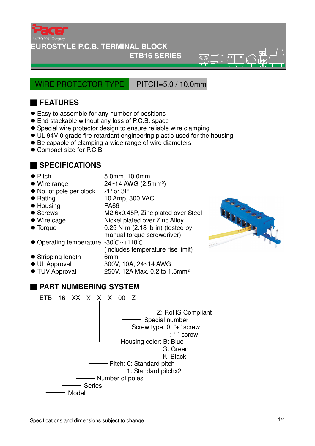

#### **EUROSTYLE P.C.B. TERMINAL BLOCK**

#### − **ETB16 SERIES**

 $\overline{\circ}$ 

WIRE PROTECTOR TYPE PITCH=5.0 / 10.0mm

# ■ **FEATURES**

- Easy to assemble for any number of positions
- End stackable without any loss of P.C.B. space
- Special wire protector design to ensure reliable wire clamping
- UL 94V-0 grade fire retardant engineering plastic used for the housing
- Be capable of clamping a wide range of wire diameters
- Compact size for P.C.B.

### ■ **SPECIFICATIONS**

- Pitch 5.0mm, 10.0mm
- $\bullet$  Wire range  $24 \sim 14$  AWG (2.5mm<sup>2</sup>)
- No. of pole per block 2P or 3P
- Rating 10 Amp, 300 VAC
- Housing PA66
- Screws M2.6x0.45P, Zinc plated over Steel
- 
- 
- Wire cage Nickel plated over Zinc Alloy ● Torque 0.25 N-m (2.18 lb-in) (tested by manual torque screwdriver)
- Operating temperature -30°C ~+110°C
- (includes temperature rise limit) Stripping length 6mm
- UL Approval 300V, 10A, 24~14 AWG
- TUV Approval 250V, 12A Max. 0.2 to 1.5mm<sup>2</sup>
- **PART NUMBERING SYSTEM**



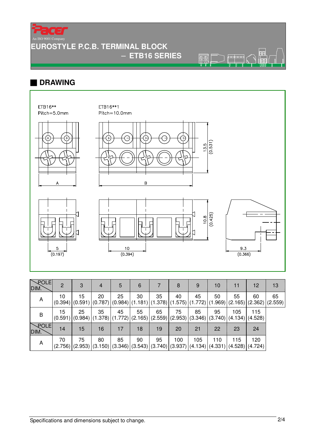Ę

An ISO 9001 Company

# **EUROSTYLE P.C.B. TERMINAL BLOCK**

− **ETB16 SERIES** 

 $\overline{\circledcirc}$ ₩

## ■ **DRAWING**



| $\sqrt{$ POLE<br>DIM.   | $\mathcal{P}$ | 3  | $\overline{4}$ | 5  | 6  |    | 8   | 9                                                                                 | 10  | 11  | $12 \,$                       | 13                                                                                                                            |
|-------------------------|---------------|----|----------------|----|----|----|-----|-----------------------------------------------------------------------------------|-----|-----|-------------------------------|-------------------------------------------------------------------------------------------------------------------------------|
| A                       | 10            | 15 | 20             | 25 | 30 | 35 | 40  | 45                                                                                | 50  | 55  | 60                            | 65<br>$(0.394)   (0.591)   (0.787)   (0.984)   (1.181)   (1.378)   (1.575)   (1.772)   (1.969)   (2.165)   (2.362)   (2.559)$ |
| B                       | 15            | 25 | 35             | 45 | 55 | 65 | 75  | 85<br>$ (0.591) (0.984) (1.378) (1.772) (2.165) (2.559) (2.953) (3.346) (3.740) $ | 95  | 105 | 115<br>$ (4.134) $ $(4.528) $ |                                                                                                                               |
| $\searrow$ POLE<br>DIM. | 14            | 15 | 16             | 17 | 18 | 19 | 20  | 21                                                                                | 22  | 23  | 24                            |                                                                                                                               |
| A                       | 70            | 75 | 80             | 85 | 90 | 95 | 100 | 105<br>$(2.756)$ (2.953) (3.150) (3.346) (3.543) (3.740) (3.937) (4.134) (4.331)  | 110 | 115 | 120<br> (4.528) (4.724)       |                                                                                                                               |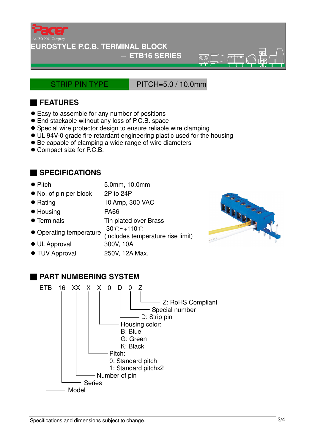

### **EUROSTYLE P.C.B. TERMINAL BLOCK**

#### − **ETB16 SERIES**

STRIP PIN TYPE PITCH=5.0 / 10.0mm

 $\overline{\circ}$ 

# ■ **FEATURES**

- Easy to assemble for any number of positions
- End stackable without any loss of P.C.B. space
- Special wire protector design to ensure reliable wire clamping
- UL 94V-0 grade fire retardant engineering plastic used for the housing
- Be capable of clamping a wide range of wire diameters
- Compact size for P.C.B.

## ■ **SPECIFICATIONS**

- Pitch 5.0mm, 10.0mm
- No. of pin per block 2P to 24P
- Rating 10 Amp, 300 VAC
- Housing PA66
- Terminals Tin plated over Brass
- Operating temperature -30 °C ~+110 °C
	- (includes temperature rise limit)
- 
- TUV Approval 250V, 12A Max.





## ■ **PART NUMBERING SYSTEM**